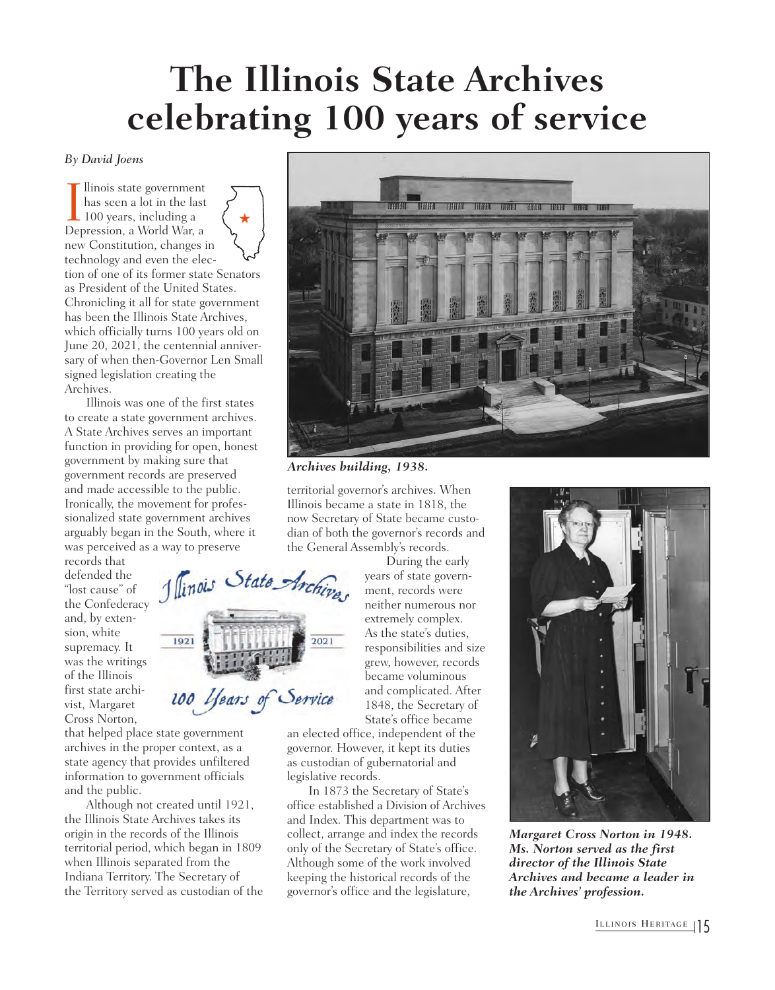## **The Illinois State Archives celebrating 100 years of service**

*By David Joens*

Ilinois state government<br>has seen a lot in the las<br>100 years, including a<br>Depression, a World War, a llinois state government has seen a lot in the last 100 years, including a new Constitution, changes in technology and even the election of one of its former state Senators as President of the United States. Chronicling it all for state government has been the Illinois State Archives, which officially turns 100 years old on June 20, 2021, the centennial anniversary of when then-Governor Len Small signed legislation creating the Archives.  $\bigstar$ 

Illinois was one of the first states to create a state government archives. A State Archives serves an important function in providing for open, honest government by making sure that government records are preserved and made accessible to the public. Ironically, the movement for professionalized state government archives arguably began in the South, where it was perceived as a way to preserve

1 linois State Archives

100 Years of Service

records that defended the "lost cause" of the Confederacy and, by extension, white supremacy. It was the writings of the Illinois first state archivist, Margaret Cross Norton,

that helped place state government archives in the proper context, as a state agency that provides unfiltered information to government officials and the public.

1921

Although not created until 1921, the Illinois State Archives takes its origin in the records of the Illinois territorial period, which began in 1809 when Illinois separated from the Indiana Territory. The Secretary of the Territory served as custodian of the



*Archives building, 1938.*

 $2021$ 

territorial governor's archives. When Illinois became a state in 1818, the now Secretary of State became custodian of both the governor's records and the General Assembly's records.

> During the early years of state government, records were neither numerous nor extremely complex. As the state's duties, responsibilities and size grew, however, records became voluminous and complicated. After 1848, the Secretary of State's office became

an elected office, independent of the governor. However, it kept its duties as custodian of gubernatorial and legislative records.

In 1873 the Secretary of State's office established a Division of Archives and Index. This department was to collect, arrange and index the records only of the Secretary of State's office. Although some of the work involved keeping the historical records of the governor's office and the legislature,



*Margaret Cross Norton in 1948. Ms. Norton served as the first director of the Illinois State Archives and became a leader in the Archives' profession.*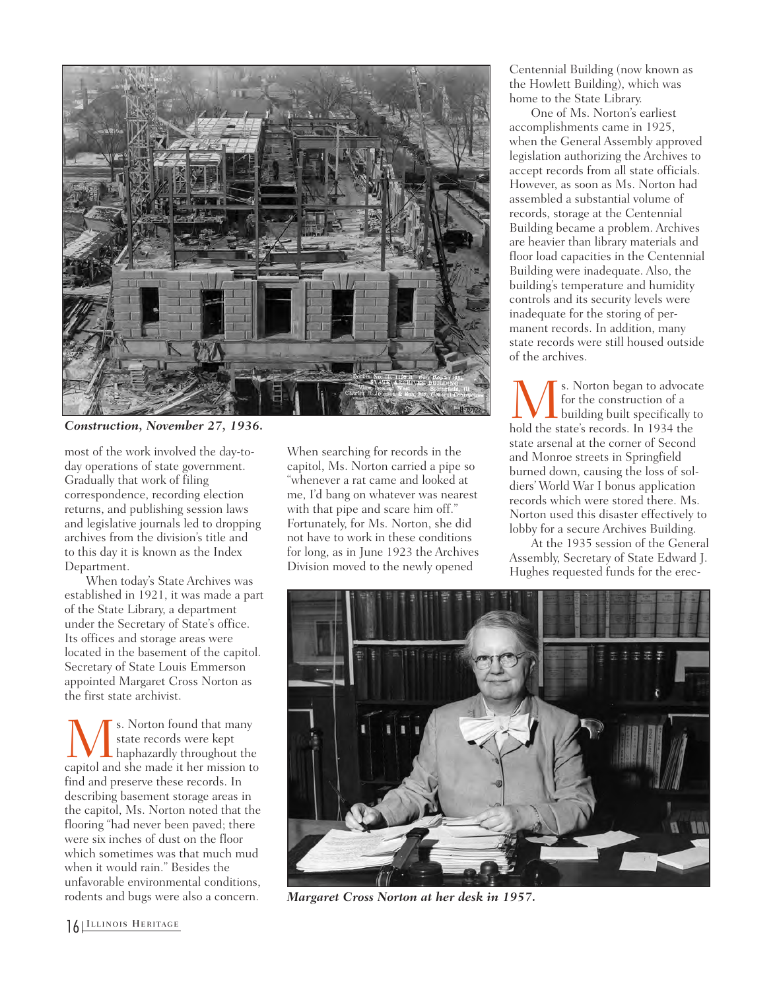

*Construction, November 27, 1936.*

most of the work involved the day-today operations of state government. Gradually that work of filing correspondence, recording election returns, and publishing session laws and legislative journals led to dropping archives from the division's title and to this day it is known as the Index Department.

When today's State Archives was established in 1921, it was made a part of the State Library, a department under the Secretary of State's office. Its offices and storage areas were located in the basement of the capitol. Secretary of State Louis Emmerson appointed Margaret Cross Norton as the first state archivist.

Ms. Norton found that many capitol and she made it her mission to state records were kept haphazardly throughout the find and preserve these records. In describing basement storage areas in the capitol, Ms. Norton noted that the flooring "had never been paved; there were six inches of dust on the floor which sometimes was that much mud when it would rain." Besides the unfavorable environmental conditions, rodents and bugs were also a concern.

When searching for records in the capitol, Ms. Norton carried a pipe so "whenever a rat came and looked at me, I'd bang on whatever was nearest with that pipe and scare him off." Fortunately, for Ms. Norton, she did not have to work in these conditions for long, as in June 1923 the Archives Division moved to the newly opened

Centennial Building (now known as the Howlett Building), which was home to the State Library.

One of Ms. Norton's earliest accomplishments came in 1925, when the General Assembly approved legislation authorizing the Archives to accept records from all state officials. However, as soon as Ms. Norton had assembled a substantial volume of records, storage at the Centennial Building became a problem. Archives are heavier than library materials and floor load capacities in the Centennial Building were inadequate. Also, the building's temperature and humidity controls and its security levels were inadequate for the storing of permanent records. In addition, many state records were still housed outside of the archives.

Ms. Norton began to advocate hold the state's records. In 1934 the for the construction of a building built specifically to state arsenal at the corner of Second and Monroe streets in Springfield burned down, causing the loss of soldiers' World War I bonus application records which were stored there. Ms. Norton used this disaster effectively to lobby for a secure Archives Building.

At the 1935 session of the General Assembly, Secretary of State Edward J. Hughes requested funds for the erec-



*Margaret Cross Norton at her desk in 1957.*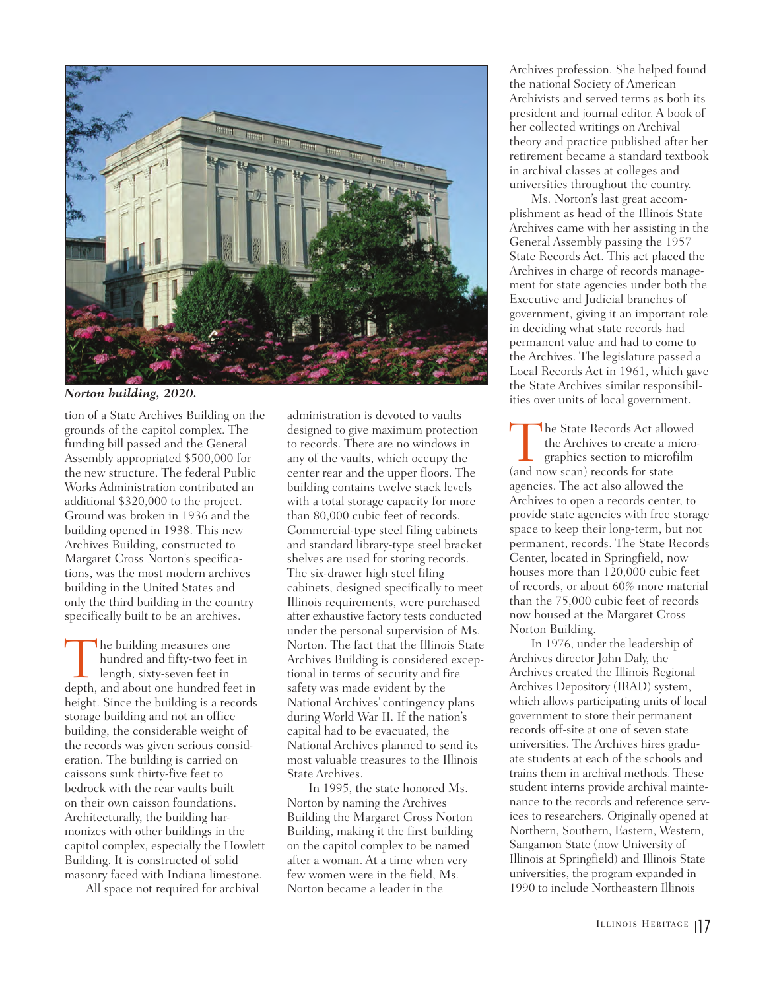

*Norton building, 2020.*

tion of a State Archives Building on the grounds of the capitol complex. The funding bill passed and the General Assembly appropriated \$500,000 for the new structure. The federal Public Works Administration contributed an additional \$320,000 to the project. Ground was broken in 1936 and the building opened in 1938. This new Archives Building, constructed to Margaret Cross Norton's specifications, was the most modern archives building in the United States and only the third building in the country specifically built to be an archives.

The building measures one<br>hundred and fifty-two feet in<br>length, sixty-seven feet in<br>depth, and about one hundred feet in hundred and fifty-two feet in length, sixty-seven feet in height. Since the building is a records storage building and not an office building, the considerable weight of the records was given serious consideration. The building is carried on caissons sunk thirty-five feet to bedrock with the rear vaults built on their own caisson foundations. Architecturally, the building harmonizes with other buildings in the capitol complex, especially the Howlett Building. It is constructed of solid masonry faced with Indiana limestone.

All space not required for archival

administration is devoted to vaults designed to give maximum protection to records. There are no windows in any of the vaults, which occupy the center rear and the upper floors. The building contains twelve stack levels with a total storage capacity for more than 80,000 cubic feet of records. Commercial-type steel filing cabinets and standard library-type steel bracket shelves are used for storing records. The six-drawer high steel filing cabinets, designed specifically to meet Illinois requirements, were purchased after exhaustive factory tests conducted under the personal supervision of Ms. Norton. The fact that the Illinois State Archives Building is considered exceptional in terms of security and fire safety was made evident by the National Archives' contingency plans during World War II. If the nation's capital had to be evacuated, the National Archives planned to send its most valuable treasures to the Illinois State Archives.

In 1995, the state honored Ms. Norton by naming the Archives Building the Margaret Cross Norton Building, making it the first building on the capitol complex to be named after a woman. At a time when very few women were in the field, Ms. Norton became a leader in the

Archives profession. She helped found the national Society of American Archivists and served terms as both its president and journal editor. A book of her collected writings on Archival theory and practice published after her retirement became a standard textbook in archival classes at colleges and universities throughout the country.

Ms. Norton's last great accomplishment as head of the Illinois State Archives came with her assisting in the General Assembly passing the 1957 State Records Act. This act placed the Archives in charge of records management for state agencies under both the Executive and Judicial branches of government, giving it an important role in deciding what state records had permanent value and had to come to the Archives. The legislature passed a Local Records Act in 1961, which gave the State Archives similar responsibilities over units of local government.

The State Records Act allowed<br>the Archives to create a micro<br>graphics section to microfilm<br>(and now scan) records for state the Archives to create a micrographics section to microfilm (and now scan) records for state agencies. The act also allowed the Archives to open a records center, to provide state agencies with free storage space to keep their long-term, but not permanent, records. The State Records Center, located in Springfield, now houses more than 120,000 cubic feet of records, or about 60% more material than the 75,000 cubic feet of records now housed at the Margaret Cross Norton Building.

In 1976, under the leadership of Archives director John Daly, the Archives created the Illinois Regional Archives Depository (IRAD) system, which allows participating units of local government to store their permanent records off-site at one of seven state universities. The Archives hires graduate students at each of the schools and trains them in archival methods. These student interns provide archival maintenance to the records and reference services to researchers. Originally opened at Northern, Southern, Eastern, Western, Sangamon State (now University of Illinois at Springfield) and Illinois State universities, the program expanded in 1990 to include Northeastern Illinois